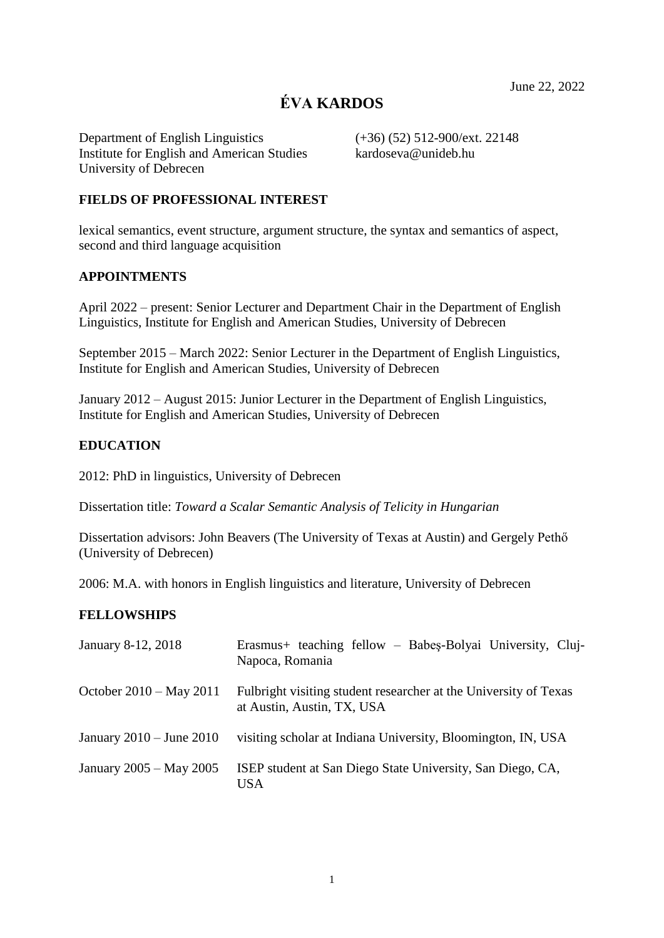# **ÉVA KARDOS**

Department of English Linguistics (+36) (52) 512-900/ext. 22148 Institute for English and American Studies kardoseva@unideb.hu University of Debrecen

### **FIELDS OF PROFESSIONAL INTEREST**

lexical semantics, event structure, argument structure, the syntax and semantics of aspect, second and third language acquisition

### **APPOINTMENTS**

April 2022 – present: Senior Lecturer and Department Chair in the Department of English Linguistics, Institute for English and American Studies, University of Debrecen

September 2015 – March 2022: Senior Lecturer in the Department of English Linguistics, Institute for English and American Studies, University of Debrecen

January 2012 – August 2015: Junior Lecturer in the Department of English Linguistics, Institute for English and American Studies, University of Debrecen

### **EDUCATION**

2012: PhD in linguistics, University of Debrecen

Dissertation title: *Toward a Scalar Semantic Analysis of Telicity in Hungarian*

Dissertation advisors: John Beavers (The University of Texas at Austin) and Gergely Pethő (University of Debrecen)

2006: M.A. with honors in English linguistics and literature, University of Debrecen

# **FELLOWSHIPS**

| January 8-12, 2018           | Erasmus+ teaching fellow – Babes-Bolyai University, Cluj-<br>Napoca, Romania                   |
|------------------------------|------------------------------------------------------------------------------------------------|
| October 2010 – May 2011      | Fulbright visiting student researcher at the University of Texas<br>at Austin, Austin, TX, USA |
| January $2010 -$ June $2010$ | visiting scholar at Indiana University, Bloomington, IN, USA                                   |
| January 2005 – May 2005      | ISEP student at San Diego State University, San Diego, CA,<br>USA                              |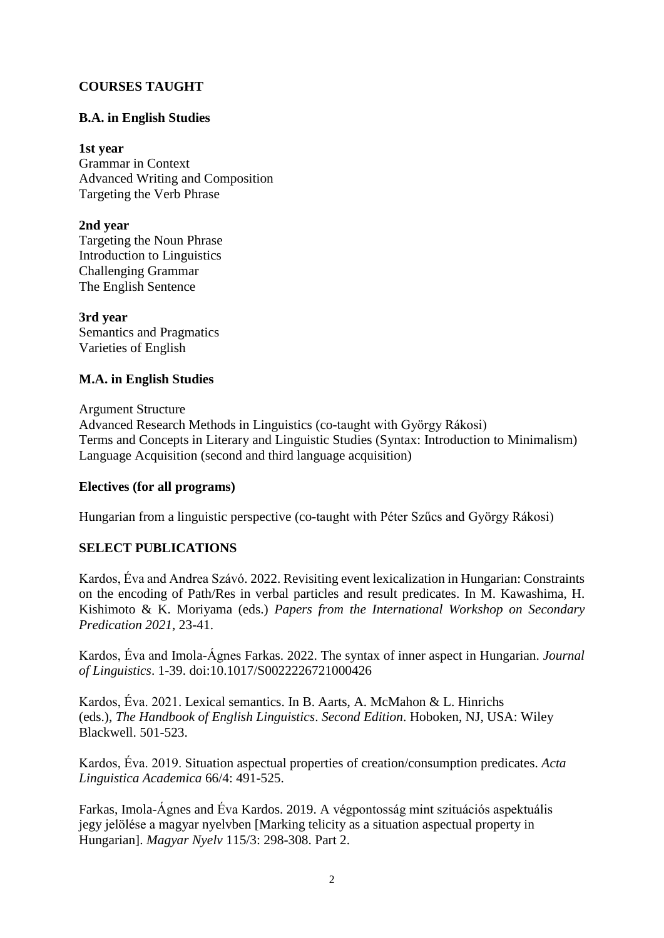# **COURSES TAUGHT**

# **B.A. in English Studies**

**1st year** Grammar in Context Advanced Writing and Composition Targeting the Verb Phrase

**2nd year**

Targeting the Noun Phrase Introduction to Linguistics Challenging Grammar The English Sentence

**3rd year** Semantics and Pragmatics Varieties of English

# **M.A. in English Studies**

Argument Structure Advanced Research Methods in Linguistics (co-taught with György Rákosi) Terms and Concepts in Literary and Linguistic Studies (Syntax: Introduction to Minimalism) Language Acquisition (second and third language acquisition)

# **Electives (for all programs)**

Hungarian from a linguistic perspective (co-taught with Péter Szűcs and György Rákosi)

# **SELECT PUBLICATIONS**

Kardos, Éva and Andrea Szávó. 2022. Revisiting event lexicalization in Hungarian: Constraints on the encoding of Path/Res in verbal particles and result predicates. In M. Kawashima, H. Kishimoto & K. Moriyama (eds.) *Papers from the International Workshop on Secondary Predication 2021*, 23-41.

Kardos, Éva and Imola-Ágnes Farkas. 2022. The syntax of inner aspect in Hungarian. *Journal of Linguistics*. 1-39. doi:10.1017/S0022226721000426

Kardos, Éva. 2021. Lexical semantics. In B. Aarts, A. McMahon & L. Hinrichs (eds.), *The Handbook of English Linguistics*. *Second Edition*. Hoboken, NJ, USA: Wiley Blackwell. 501-523.

Kardos, Éva. 2019. Situation aspectual properties of creation/consumption predicates. *Acta Linguistica Academica* 66/4: 491-525.

Farkas, Imola-Ágnes and Éva Kardos. 2019. A végpontosság mint szituációs aspektuális jegy jelölése a magyar nyelvben [Marking telicity as a situation aspectual property in Hungarian]. *Magyar Nyelv* 115/3: 298-308. Part 2.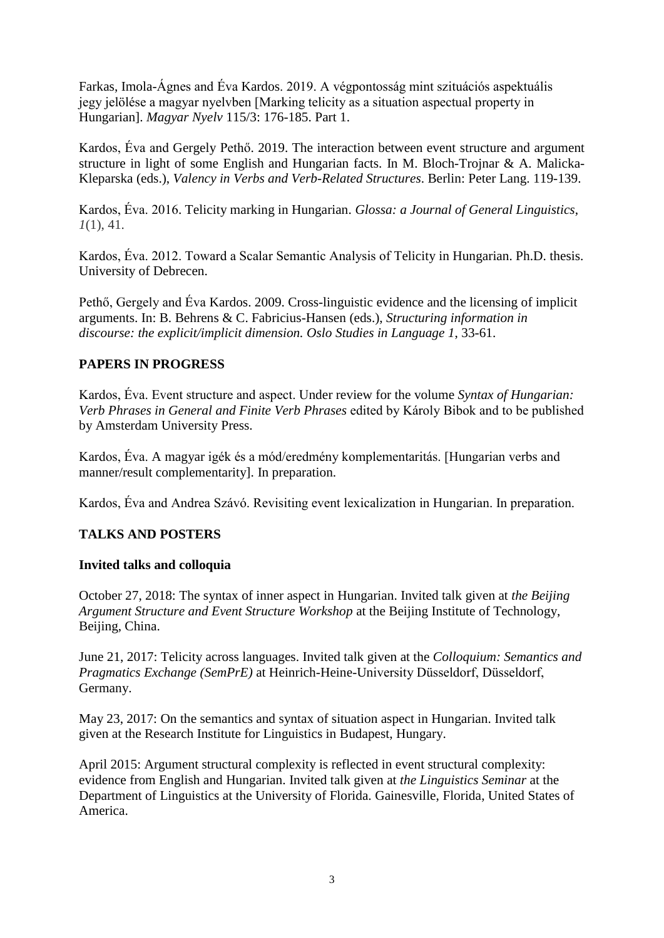Farkas, Imola-Ágnes and Éva Kardos. 2019. A végpontosság mint szituációs aspektuális jegy jelölése a magyar nyelvben [Marking telicity as a situation aspectual property in Hungarian]. *Magyar Nyelv* 115/3: 176-185. Part 1.

Kardos, Éva and Gergely Pethő. 2019. The interaction between event structure and argument structure in light of some English and Hungarian facts. In M. Bloch-Trojnar & A. Malicka-Kleparska (eds.), *Valency in Verbs and Verb-Related Structures*. Berlin: Peter Lang. 119-139.

Kardos, Éva. 2016. Telicity marking in Hungarian. *Glossa: a Journal of General Linguistics*, *1*(1), 41.

Kardos, Éva. 2012. Toward a Scalar Semantic Analysis of Telicity in Hungarian. Ph.D. thesis. University of Debrecen.

Pethő, Gergely and Éva Kardos. 2009. Cross-linguistic evidence and the licensing of implicit arguments. In: B. Behrens & C. Fabricius-Hansen (eds.), *Structuring information in discourse: the explicit/implicit dimension. Oslo Studies in Language 1*, 33-61.

# **PAPERS IN PROGRESS**

Kardos, Éva. Event structure and aspect. Under review for the volume *Syntax of Hungarian: Verb Phrases in General and Finite Verb Phrases* edited by Károly Bibok and to be published by Amsterdam University Press.

Kardos, Éva. A magyar igék és a mód/eredmény komplementaritás. [Hungarian verbs and manner/result complementarity]. In preparation.

Kardos, Éva and Andrea Szávó. Revisiting event lexicalization in Hungarian. In preparation.

# **TALKS AND POSTERS**

### **Invited talks and colloquia**

October 27, 2018: The syntax of inner aspect in Hungarian. Invited talk given at *the Beijing Argument Structure and Event Structure Workshop* at the Beijing Institute of Technology, Beijing, China.

June 21, 2017: Telicity across languages. Invited talk given at the *Colloquium: Semantics and Pragmatics Exchange (SemPrE)* at Heinrich-Heine-University Düsseldorf, Düsseldorf, Germany.

May 23, 2017: On the semantics and syntax of situation aspect in Hungarian. Invited talk given at the Research Institute for Linguistics in Budapest, Hungary.

April 2015: Argument structural complexity is reflected in event structural complexity: evidence from English and Hungarian. Invited talk given at *the Linguistics Seminar* at the Department of Linguistics at the University of Florida. Gainesville, Florida, United States of America.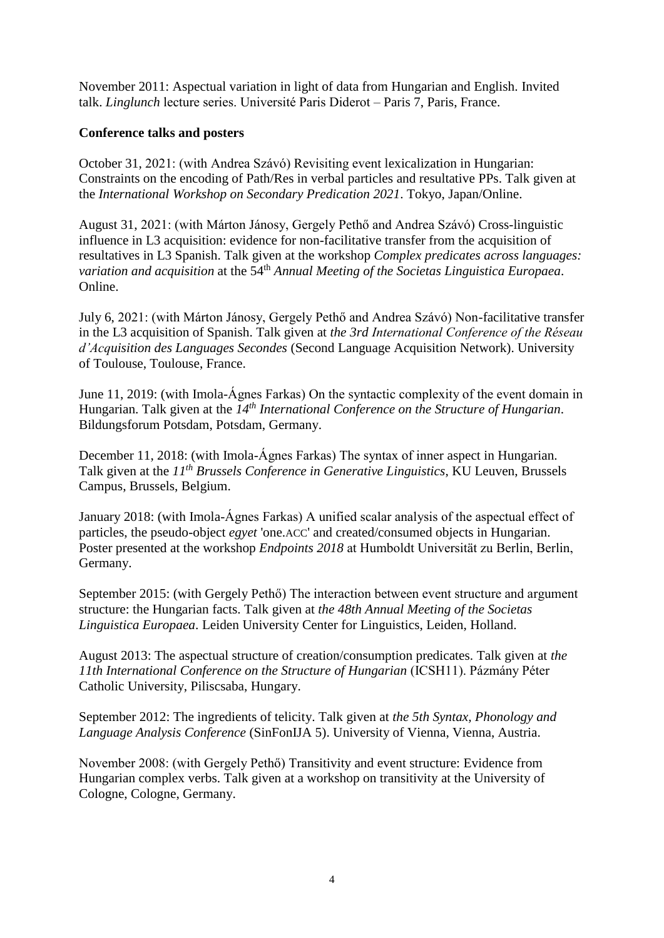November 2011: Aspectual variation in light of data from Hungarian and English. Invited talk. *Linglunch* lecture series. Université Paris Diderot – Paris 7, Paris, France.

### **Conference talks and posters**

October 31, 2021: (with Andrea Szávó) Revisiting event lexicalization in Hungarian: Constraints on the encoding of Path/Res in verbal particles and resultative PPs. Talk given at the *International Workshop on Secondary Predication 2021*. Tokyo, Japan/Online.

August 31, 2021: (with Márton Jánosy, Gergely Pethő and Andrea Szávó) Cross-linguistic influence in L3 acquisition: evidence for non-facilitative transfer from the acquisition of resultatives in L3 Spanish. Talk given at the workshop *Complex predicates across languages: variation and acquisition* at the 54<sup>th</sup> *Annual Meeting of the Societas Linguistica Europaea.* Online.

July 6, 2021: (with Márton Jánosy, Gergely Pethő and Andrea Szávó) Non-facilitative transfer in the L3 acquisition of Spanish. Talk given at *the 3rd International Conference of the Réseau d'Acquisition des Languages Secondes* (Second Language Acquisition Network). University of Toulouse, Toulouse, France.

June 11, 2019: (with Imola-Ágnes Farkas) On the syntactic complexity of the event domain in Hungarian. Talk given at the *14th International Conference on the Structure of Hungarian*. Bildungsforum Potsdam, Potsdam, Germany.

December 11, 2018: (with Imola-Ágnes Farkas) The syntax of inner aspect in Hungarian. Talk given at the *11th Brussels Conference in Generative Linguistics*, KU Leuven, Brussels Campus, Brussels, Belgium.

January 2018: (with Imola-Ágnes Farkas) A unified scalar analysis of the aspectual effect of particles, the pseudo-object *egyet* 'one.ACC' and created/consumed objects in Hungarian. Poster presented at the workshop *Endpoints 2018* at Humboldt Universität zu Berlin, Berlin, Germany.

September 2015: (with Gergely Pethő) The interaction between event structure and argument structure: the Hungarian facts. Talk given at *the 48th Annual Meeting of the Societas Linguistica Europaea*. Leiden University Center for Linguistics, Leiden, Holland.

August 2013: The aspectual structure of creation/consumption predicates. Talk given at *the 11th International Conference on the Structure of Hungarian* (ICSH11). Pázmány Péter Catholic University, Piliscsaba, Hungary.

September 2012: The ingredients of telicity. Talk given at *the 5th Syntax, Phonology and Language Analysis Conference* (SinFonIJA 5). University of Vienna, Vienna, Austria.

November 2008: (with Gergely Pethő) Transitivity and event structure: Evidence from Hungarian complex verbs. Talk given at a workshop on transitivity at the University of Cologne, Cologne, Germany.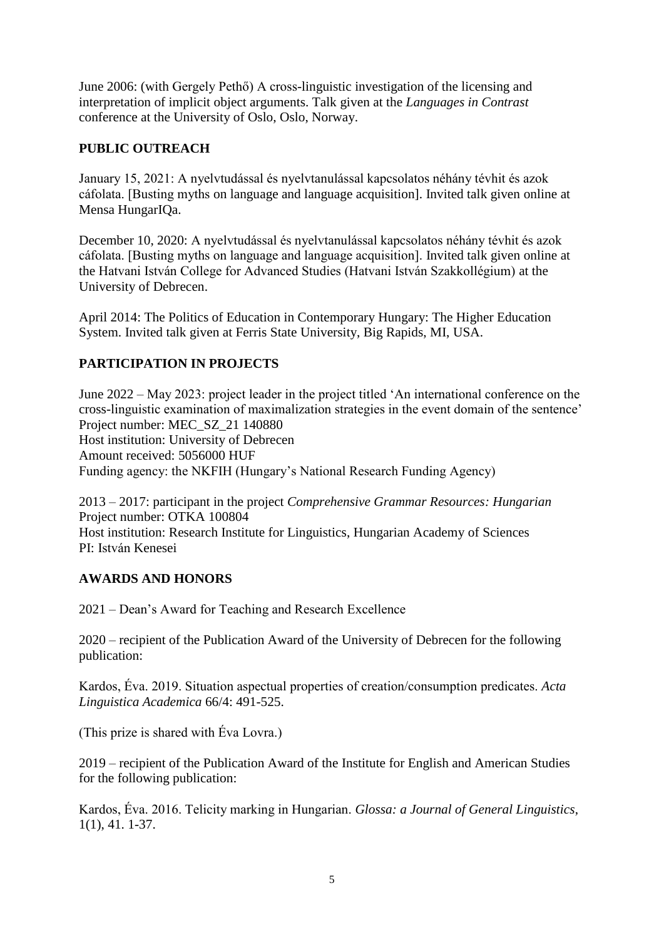June 2006: (with Gergely Pethő) A cross-linguistic investigation of the licensing and interpretation of implicit object arguments. Talk given at the *Languages in Contrast* conference at the University of Oslo, Oslo, Norway.

# **PUBLIC OUTREACH**

January 15, 2021: A nyelvtudással és nyelvtanulással kapcsolatos néhány tévhit és azok cáfolata. [Busting myths on language and language acquisition]. Invited talk given online at Mensa HungarIQa.

December 10, 2020: A nyelvtudással és nyelvtanulással kapcsolatos néhány tévhit és azok cáfolata. [Busting myths on language and language acquisition]. Invited talk given online at the Hatvani István College for Advanced Studies (Hatvani István Szakkollégium) at the University of Debrecen.

April 2014: The Politics of Education in Contemporary Hungary: The Higher Education System. Invited talk given at Ferris State University, Big Rapids, MI, USA.

# **PARTICIPATION IN PROJECTS**

June 2022 – May 2023: project leader in the project titled 'An international conference on the cross-linguistic examination of maximalization strategies in the event domain of the sentence' Project number: MEC\_SZ\_21 140880 Host institution: University of Debrecen Amount received: 5056000 HUF Funding agency: the NKFIH (Hungary's National Research Funding Agency)

2013 – 2017: participant in the project *Comprehensive Grammar Resources: Hungarian* Project number: OTKA 100804 Host institution: Research Institute for Linguistics, Hungarian Academy of Sciences PI: István Kenesei

# **AWARDS AND HONORS**

2021 – Dean's Award for Teaching and Research Excellence

2020 – recipient of the Publication Award of the University of Debrecen for the following publication:

Kardos, Éva. 2019. Situation aspectual properties of creation/consumption predicates. *Acta Linguistica Academica* 66/4: 491-525.

(This prize is shared with Éva Lovra.)

2019 – recipient of the Publication Award of the Institute for English and American Studies for the following publication:

Kardos, Éva. 2016. Telicity marking in Hungarian. *Glossa: a Journal of General Linguistics*, 1(1), 41. 1-37.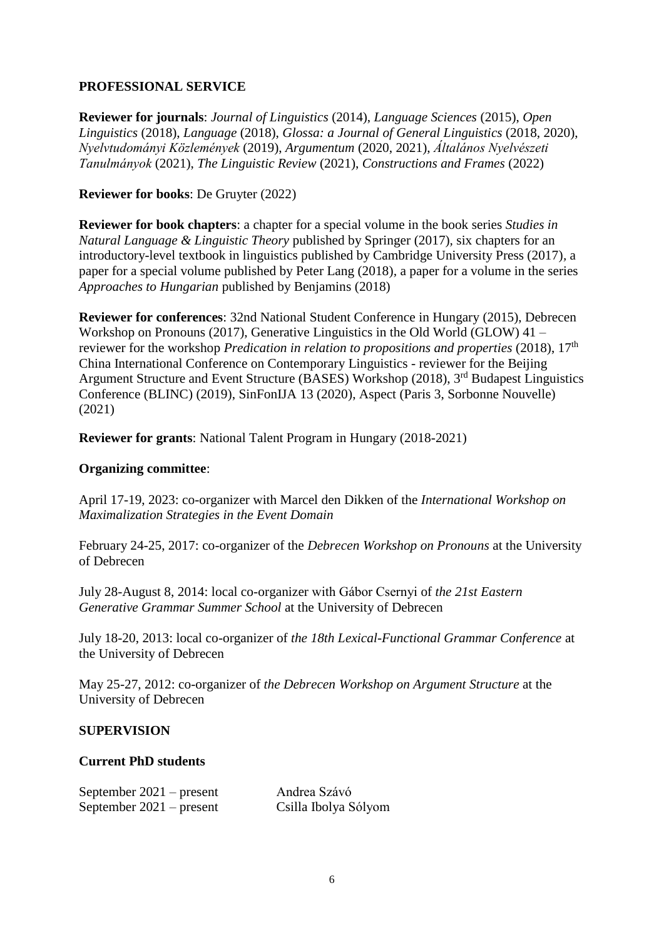# **PROFESSIONAL SERVICE**

**Reviewer for journals**: *Journal of Linguistics* (2014), *Language Sciences* (2015), *Open Linguistics* (2018), *Language* (2018), *Glossa: a Journal of General Linguistics* (2018, 2020), *Nyelvtudományi Közlemények* (2019), *Argumentum* (2020, 2021), *Általános Nyelvészeti Tanulmányok* (2021), *The Linguistic Review* (2021), *Constructions and Frames* (2022)

# **Reviewer for books**: De Gruyter (2022)

**Reviewer for book chapters**: a chapter for a special volume in the book series *Studies in Natural Language & Linguistic Theory* published by Springer (2017)*,* six chapters for an introductory-level textbook in linguistics published by Cambridge University Press (2017)*,* a paper for a special volume published by Peter Lang (2018)*,* a paper for a volume in the series *Approaches to Hungarian* published by Benjamins (2018)

**Reviewer for conferences**: 32nd National Student Conference in Hungary (2015), Debrecen Workshop on Pronouns (2017), Generative Linguistics in the Old World (GLOW) 41 – reviewer for the workshop *Predication in relation to propositions and properties* (2018), 17th China International Conference on Contemporary Linguistics - reviewer for the Beijing Argument Structure and Event Structure (BASES) Workshop (2018), 3<sup>rd</sup> Budapest Linguistics Conference (BLINC) (2019), SinFonIJA 13 (2020), Aspect (Paris 3, Sorbonne Nouvelle) (2021)

**Reviewer for grants**: National Talent Program in Hungary (2018-2021)

### **Organizing committee**:

April 17-19, 2023: co-organizer with Marcel den Dikken of the *International Workshop on Maximalization Strategies in the Event Domain*

February 24-25, 2017: co-organizer of the *Debrecen Workshop on Pronouns* at the University of Debrecen

July 28-August 8, 2014: local co-organizer with Gábor Csernyi of *the 21st Eastern Generative Grammar Summer School* at the University of Debrecen

July 18-20, 2013: local co-organizer of *the 18th Lexical-Functional Grammar Conference* at the University of Debrecen

May 25-27, 2012: co-organizer of *the Debrecen Workshop on Argument Structure* at the University of Debrecen

# **SUPERVISION**

### **Current PhD students**

| September $2021$ – present | Andrea Szávó         |
|----------------------------|----------------------|
| September $2021$ – present | Csilla Ibolya Sólyom |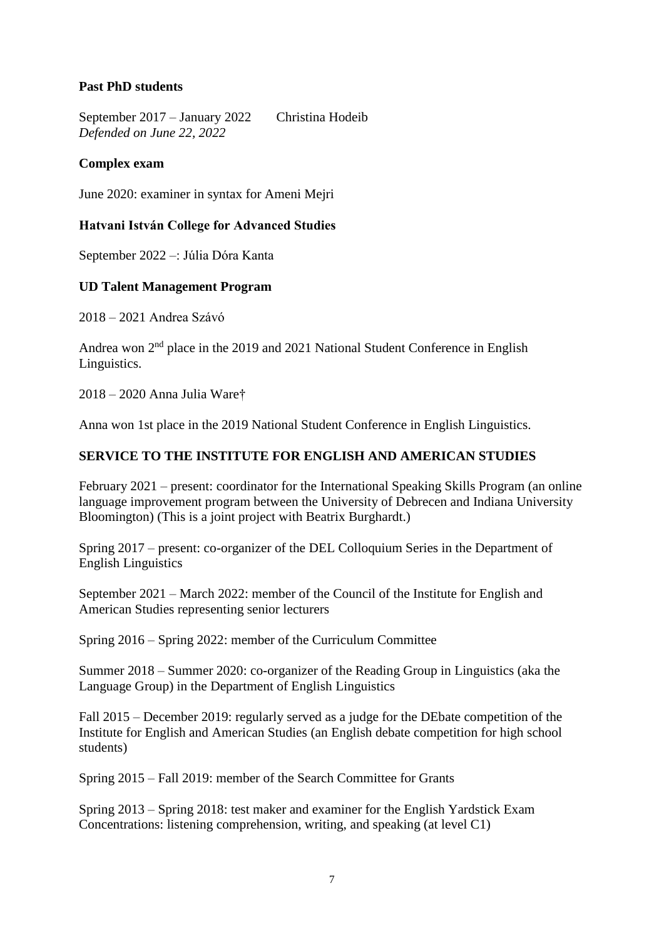# **Past PhD students**

September 2017 – January 2022 Christina Hodeib *Defended on June 22, 2022*

### **Complex exam**

June 2020: examiner in syntax for Ameni Mejri

### **Hatvani István College for Advanced Studies**

September 2022 –: Júlia Dóra Kanta

### **UD Talent Management Program**

2018 – 2021 Andrea Szávó

Andrea won  $2<sup>nd</sup>$  place in the 2019 and 2021 National Student Conference in English Linguistics.

2018 – 2020 Anna Julia Ware†

Anna won 1st place in the 2019 National Student Conference in English Linguistics.

### **SERVICE TO THE INSTITUTE FOR ENGLISH AND AMERICAN STUDIES**

February 2021 – present: coordinator for the International Speaking Skills Program (an online language improvement program between the University of Debrecen and Indiana University Bloomington) (This is a joint project with Beatrix Burghardt.)

Spring 2017 – present: co-organizer of the DEL Colloquium Series in the Department of English Linguistics

September 2021 – March 2022: member of the Council of the Institute for English and American Studies representing senior lecturers

Spring 2016 – Spring 2022: member of the Curriculum Committee

Summer 2018 – Summer 2020: co-organizer of the Reading Group in Linguistics (aka the Language Group) in the Department of English Linguistics

Fall 2015 – December 2019: regularly served as a judge for the DEbate competition of the Institute for English and American Studies (an English debate competition for high school students)

Spring 2015 – Fall 2019: member of the Search Committee for Grants

Spring 2013 – Spring 2018: test maker and examiner for the English Yardstick Exam Concentrations: listening comprehension, writing, and speaking (at level C1)